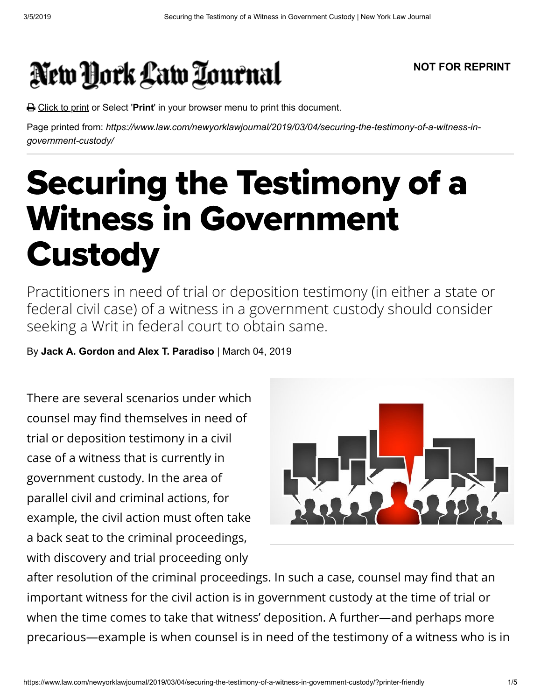## New York Law Tournal

## **NOT FOR REPRINT**

Click to print or Select '**Print**' in your browser menu to print this document.

Page printed from: *https://www.law.com/newyorklawjournal/2019/03/04/securing-the-testimony-of-a-witness-ingovernment-custody/*

## Securing the Testimony of a Witness in Government **Custody**

Practitioners in need of trial or deposition testimony (in either a state or federal civil case) of a witness in a government custody should consider seeking a Writ in federal court to obtain same.

By **Jack A. Gordon and Alex T. Paradiso** | March 04, 2019

There are several scenarios under which counsel may find themselves in need of trial or deposition testimony in a civil case of a witness that is currently in government custody. In the area of parallel civil and criminal actions, for example, the civil action must often take a back seat to the criminal proceedings, with discovery and trial proceeding only



after resolution of the criminal proceedings. In such a case, counsel may find that an important witness for the civil action is in government custody at the time of trial or when the time comes to take that witness' deposition. A further—and perhaps more precarious—example is when counsel is in need of the testimony of a witness who is in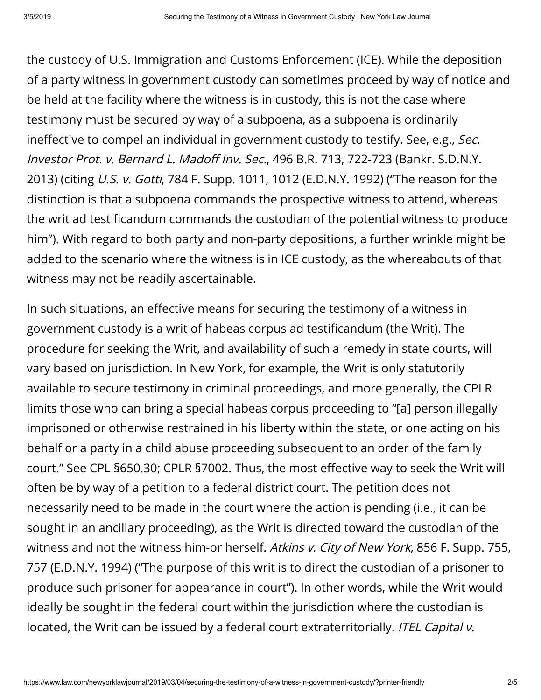the custody of U.S. Immigration and Customs Enforcement (ICE). While the deposition of a party witness in government custody can sometimes proceed by way of notice and be held at the facility where the witness is in custody, this is not the case where testimony must be secured by way of a subpoena, as a subpoena is ordinarily ineffective to compel an individual in government custody to testify. See, e.g., Sec. Investor Prot. v. Bernard L. Madoff Inv. Sec., 496 B.R. 713, 722-723 (Bankr. S.D.N.Y. 2013) (citing *U.S. v. Gotti*, 784 F. Supp. 1011, 1012 (E.D.N.Y. 1992) ("The reason for the distinction is that a subpoena commands the prospective witness to attend, whereas the writ ad testificandum commands the custodian of the potential witness to produce him"). With regard to both party and non-party depositions, a further wrinkle might be added to the scenario where the witness is in ICE custody, as the whereabouts of that witness may not be readily ascertainable.

In such situations, an effective means for securing the testimony of a witness in government custody is a writ of habeas corpus ad testicandum (the Writ). The procedure for seeking the Writ, and availability of such a remedy in state courts, will vary based on jurisdiction. In New York, for example, the Writ is only statutorily available to secure testimony in criminal proceedings, and more generally, the CPLR limits those who can bring a special habeas corpus proceeding to "[a] person illegally imprisoned or otherwise restrained in his liberty within the state, or one acting on his behalf or a party in a child abuse proceeding subsequent to an order of the family court." See CPL §650.30; CPLR §7002. Thus, the most effective way to seek the Writ will often be by way of a petition to a federal district court. The petition does not necessarily need to be made in the court where the action is pending (i.e., it can be sought in an ancillary proceeding), as the Writ is directed toward the custodian of the witness and not the witness him-or herself. Atkins v. City of New York, 856 F. Supp. 755, 757 (E.D.N.Y. 1994) ("The purpose of this writ is to direct the custodian of a prisoner to produce such prisoner for appearance in court"). In other words, while the Writ would ideally be sought in the federal court within the jurisdiction where the custodian is located, the Writ can be issued by a federal court extraterritorially. ITEL Capital v.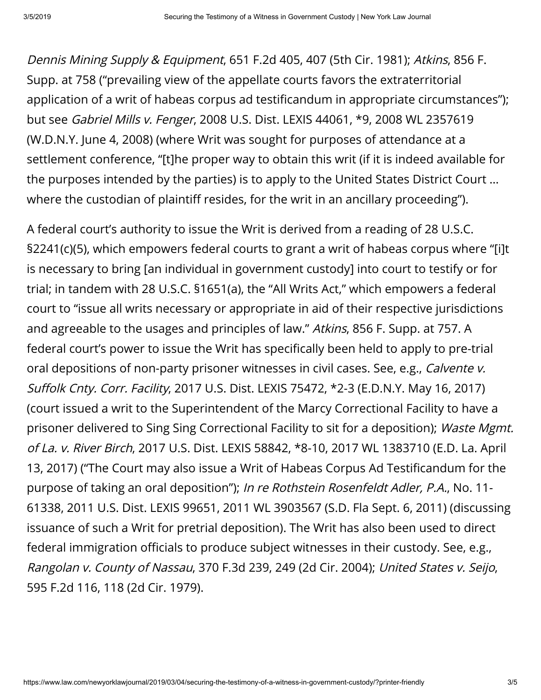Dennis Mining Supply & Equipment, 651 F.2d 405, 407 (5th Cir. 1981); Atkins, 856 F. Supp. at 758 ("prevailing view of the appellate courts favors the extraterritorial application of a writ of habeas corpus ad testificandum in appropriate circumstances"); but see Gabriel Mills v. Fenger, 2008 U.S. Dist. LEXIS 44061, \*9, 2008 WL 2357619 (W.D.N.Y. June 4, 2008) (where Writ was sought for purposes of attendance at a settlement conference, "[t]he proper way to obtain this writ (if it is indeed available for the purposes intended by the parties) is to apply to the United States District Court … where the custodian of plaintiff resides, for the writ in an ancillary proceeding").

A federal court's authority to issue the Writ is derived from a reading of 28 U.S.C. §2241(c)(5), which empowers federal courts to grant a writ of habeas corpus where "[i]t is necessary to bring [an individual in government custody] into court to testify or for trial; in tandem with 28 U.S.C. §1651(a), the "All Writs Act," which empowers a federal court to "issue all writs necessary or appropriate in aid of their respective jurisdictions and agreeable to the usages and principles of law." Atkins, 856 F. Supp. at 757. A federal court's power to issue the Writ has specifically been held to apply to pre-trial oral depositions of non-party prisoner witnesses in civil cases. See, e.g., Calvente v. Suffolk Cnty. Corr. Facility, 2017 U.S. Dist. LEXIS 75472, \*2-3 (E.D.N.Y. May 16, 2017) (court issued a writ to the Superintendent of the Marcy Correctional Facility to have a prisoner delivered to Sing Sing Correctional Facility to sit for a deposition); Waste Mgmt. of La. v. River Birch, 2017 U.S. Dist. LEXIS 58842, \*8-10, 2017 WL 1383710 (E.D. La. April 13, 2017) ("The Court may also issue a Writ of Habeas Corpus Ad Testicandum for the purpose of taking an oral deposition"); In re Rothstein Rosenfeldt Adler, P.A., No. 11- 61338, 2011 U.S. Dist. LEXIS 99651, 2011 WL 3903567 (S.D. Fla Sept. 6, 2011) (discussing issuance of such a Writ for pretrial deposition). The Writ has also been used to direct federal immigration officials to produce subject witnesses in their custody. See, e.g., Rangolan v. County of Nassau, 370 F.3d 239, 249 (2d Cir. 2004); United States v. Seijo, 595 F.2d 116, 118 (2d Cir. 1979).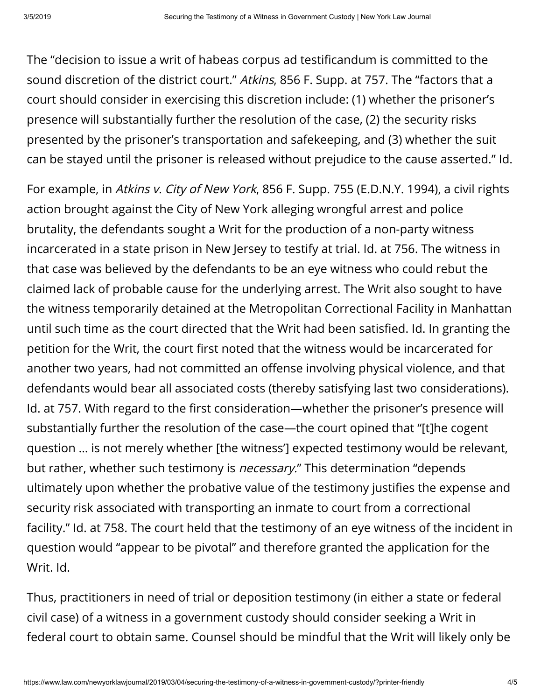The "decision to issue a writ of habeas corpus ad testicandum is committed to the sound discretion of the district court." Atkins, 856 F. Supp. at 757. The "factors that a court should consider in exercising this discretion include: (1) whether the prisoner's presence will substantially further the resolution of the case, (2) the security risks presented by the prisoner's transportation and safekeeping, and (3) whether the suit can be stayed until the prisoner is released without prejudice to the cause asserted." Id.

For example, in Atkins v. City of New York, 856 F. Supp. 755 (E.D.N.Y. 1994), a civil rights action brought against the City of New York alleging wrongful arrest and police brutality, the defendants sought a Writ for the production of a non-party witness incarcerated in a state prison in New Jersey to testify at trial. Id. at 756. The witness in that case was believed by the defendants to be an eye witness who could rebut the claimed lack of probable cause for the underlying arrest. The Writ also sought to have the witness temporarily detained at the Metropolitan Correctional Facility in Manhattan until such time as the court directed that the Writ had been satisfied. Id. In granting the petition for the Writ, the court first noted that the witness would be incarcerated for another two years, had not committed an offense involving physical violence, and that defendants would bear all associated costs (thereby satisfying last two considerations). Id. at 757. With regard to the first consideration—whether the prisoner's presence will substantially further the resolution of the case—the court opined that "[t]he cogent question … is not merely whether [the witness'] expected testimony would be relevant, but rather, whether such testimony is *necessary.*" This determination "depends ultimately upon whether the probative value of the testimony justifies the expense and security risk associated with transporting an inmate to court from a correctional facility." Id. at 758. The court held that the testimony of an eye witness of the incident in question would "appear to be pivotal" and therefore granted the application for the Writ. Id.

Thus, practitioners in need of trial or deposition testimony (in either a state or federal civil case) of a witness in a government custody should consider seeking a Writ in federal court to obtain same. Counsel should be mindful that the Writ will likely only be